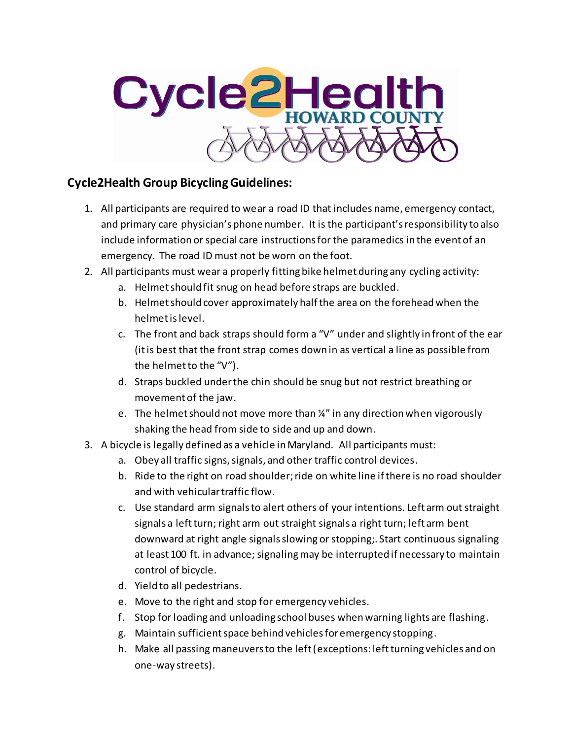

## **Cycle2Health Group Bicycling Guidelines:**

- 1. All participants are required to wear a road ID that includes name, emergency contact, and primary care physician's phone number. It is the participant's responsibility to also include information or special care instructions for the paramedics in the event of an emergency. The road ID must not be worn on the foot.
- 2. All participants must wear a properly fitting bike helmet during any cycling activity:
	- a. Helmet should fit snug on head before straps are buckled.
	- b. Helmet should cover approximately half the area on the forehead when the helmet is level.
	- c. The front and back straps should form a "V" under and slightly in front of the ear (it is best that the front strap comes down in as vertical a line as possible from the helmet to the "V").
	- d. Straps buckled under the chin should be snug but not restrict breathing or movement of the jaw.
	- e. The helmet should not move more than ¼" in any direction when vigorously shaking the head from side to side and up and down.
- 3. A bicycle is legally defined as a vehicle in Maryland. All participants must:
	- a. Obey all traffic signs, signals, and other traffic control devices.
	- b. Ride to the right on road shoulder; ride on white line if there is no road shoulder and with vehicular traffic flow.
	- c. Use standard arm signals to alert others of your intentions. Left arm out straight signals a left turn; right arm out straight signals a right turn; left arm bent downward at right angle signals slowing or stopping;. Start continuous signaling at least 100 ft. in advance; signaling may be interrupted if necessary to maintain control of bicycle.
	- d. Yield to all pedestrians.
	- e. Move to the right and stop for emergency vehicles.
	- f. Stop for loading and unloading school buses when warning lights are flashing.
	- g. Maintain sufficient space behind vehicles for emergency stopping.
	- h. Make all passing maneuvers to the left (exceptions: left turning vehicles and on one-way streets).